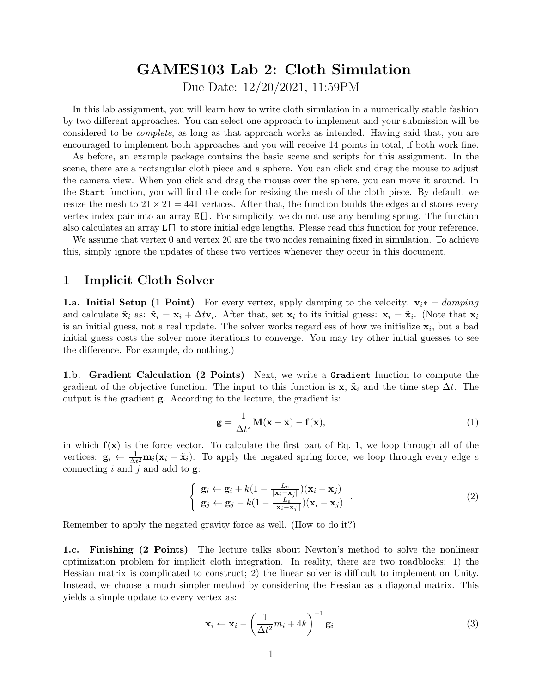# GAMES103 Lab 2: Cloth Simulation

Due Date: 12/20/2021, 11:59PM

In this lab assignment, you will learn how to write cloth simulation in a numerically stable fashion by two different approaches. You can select one approach to implement and your submission will be considered to be complete, as long as that approach works as intended. Having said that, you are encouraged to implement both approaches and you will receive 14 points in total, if both work fine.

As before, an example package contains the basic scene and scripts for this assignment. In the scene, there are a rectangular cloth piece and a sphere. You can click and drag the mouse to adjust the camera view. When you click and drag the mouse over the sphere, you can move it around. In the Start function, you will find the code for resizing the mesh of the cloth piece. By default, we resize the mesh to  $21 \times 21 = 441$  vertices. After that, the function builds the edges and stores every vertex index pair into an array E[]. For simplicity, we do not use any bending spring. The function also calculates an array L[] to store initial edge lengths. Please read this function for your reference.

We assume that vertex 0 and vertex 20 are the two nodes remaining fixed in simulation. To achieve this, simply ignore the updates of these two vertices whenever they occur in this document.

## 1 Implicit Cloth Solver

**1.a. Initial Setup (1 Point)** For every vertex, apply damping to the velocity:  $v_i * = damping$ and calculate  $\tilde{\mathbf{x}}_i$  as:  $\tilde{\mathbf{x}}_i = \mathbf{x}_i + \Delta t \mathbf{v}_i$ . After that, set  $\mathbf{x}_i$  to its initial guess:  $\mathbf{x}_i = \tilde{\mathbf{x}}_i$ . (Note that  $\mathbf{x}_i$ is an initial guess, not a real update. The solver works regardless of how we initialize  $x_i$ , but a bad initial guess costs the solver more iterations to converge. You may try other initial guesses to see the difference. For example, do nothing.)

1.b. Gradient Calculation (2 Points) Next, we write a Gradient function to compute the gradient of the objective function. The input to this function is  $x, \tilde{x}_i$  and the time step  $\Delta t$ . The output is the gradient g. According to the lecture, the gradient is:

$$
\mathbf{g} = \frac{1}{\Delta t^2} \mathbf{M}(\mathbf{x} - \tilde{\mathbf{x}}) - \mathbf{f}(\mathbf{x}),
$$
\n(1)

in which  $f(x)$  is the force vector. To calculate the first part of Eq. 1, we loop through all of the vertices:  $\mathbf{g}_i \leftarrow \frac{1}{\Delta t^2} \mathbf{m}_i (\mathbf{x}_i - \tilde{\mathbf{x}}_i)$ . To apply the negated spring force, we loop through every edge e connecting  $i$  and  $j$  and add to  $\mathbf{g}$ :

$$
\begin{cases} \mathbf{g}_i \leftarrow \mathbf{g}_i + k(1 - \frac{L_e}{\|\mathbf{x}_i - \mathbf{x}_j\|})(\mathbf{x}_i - \mathbf{x}_j) \\ \mathbf{g}_j \leftarrow \mathbf{g}_j - k(1 - \frac{L_e}{\|\mathbf{x}_i - \mathbf{x}_j\|})(\mathbf{x}_i - \mathbf{x}_j) \end{cases} (2)
$$

Remember to apply the negated gravity force as well. (How to do it?)

1.c. Finishing (2 Points) The lecture talks about Newton's method to solve the nonlinear optimization problem for implicit cloth integration. In reality, there are two roadblocks: 1) the Hessian matrix is complicated to construct; 2) the linear solver is difficult to implement on Unity. Instead, we choose a much simpler method by considering the Hessian as a diagonal matrix. This yields a simple update to every vertex as:

$$
\mathbf{x}_i \leftarrow \mathbf{x}_i - \left(\frac{1}{\Delta t^2} m_i + 4k\right)^{-1} \mathbf{g}_i.
$$
 (3)